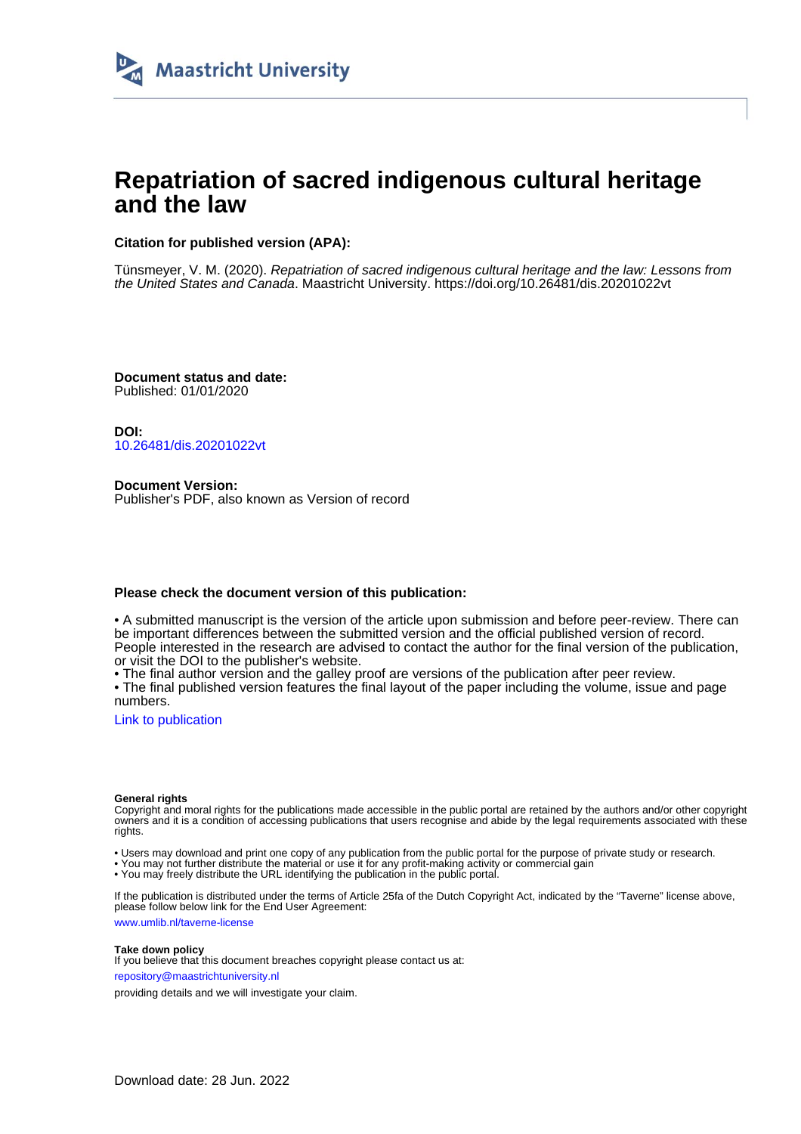

# **Repatriation of sacred indigenous cultural heritage and the law**

## **Citation for published version (APA):**

Tünsmeyer, V. M. (2020). Repatriation of sacred indigenous cultural heritage and the law: Lessons from the United States and Canada. Maastricht University. <https://doi.org/10.26481/dis.20201022vt>

**Document status and date:** Published: 01/01/2020

**DOI:** [10.26481/dis.20201022vt](https://doi.org/10.26481/dis.20201022vt)

**Document Version:** Publisher's PDF, also known as Version of record

### **Please check the document version of this publication:**

• A submitted manuscript is the version of the article upon submission and before peer-review. There can be important differences between the submitted version and the official published version of record. People interested in the research are advised to contact the author for the final version of the publication, or visit the DOI to the publisher's website.

• The final author version and the galley proof are versions of the publication after peer review.

• The final published version features the final layout of the paper including the volume, issue and page numbers.

[Link to publication](https://cris.maastrichtuniversity.nl/en/publications/f2e57b46-78a9-453b-9a03-2f3225cf2e32)

#### **General rights**

Copyright and moral rights for the publications made accessible in the public portal are retained by the authors and/or other copyright owners and it is a condition of accessing publications that users recognise and abide by the legal requirements associated with these rights.

• Users may download and print one copy of any publication from the public portal for the purpose of private study or research.

• You may not further distribute the material or use it for any profit-making activity or commercial gain

• You may freely distribute the URL identifying the publication in the public portal.

If the publication is distributed under the terms of Article 25fa of the Dutch Copyright Act, indicated by the "Taverne" license above, please follow below link for the End User Agreement:

www.umlib.nl/taverne-license

#### **Take down policy**

If you believe that this document breaches copyright please contact us at: repository@maastrichtuniversity.nl

providing details and we will investigate your claim.